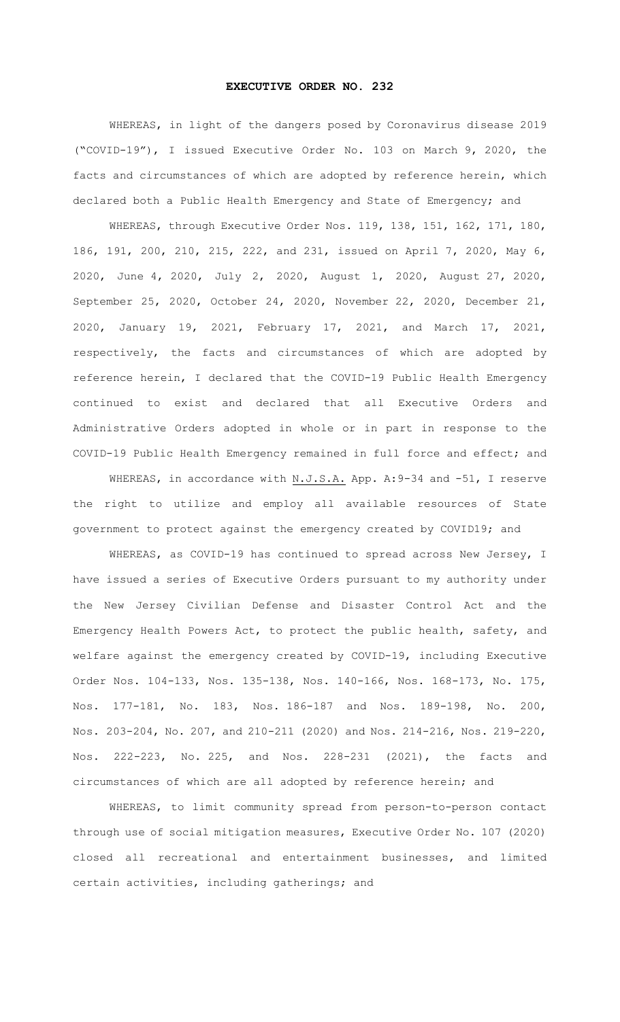## **EXECUTIVE ORDER NO. 232**

WHEREAS, in light of the dangers posed by Coronavirus disease 2019 ("COVID-19"), I issued Executive Order No. 103 on March 9, 2020, the facts and circumstances of which are adopted by reference herein, which declared both a Public Health Emergency and State of Emergency; and

WHEREAS, through Executive Order Nos. 119, 138, 151, 162, 171, 180, 186, 191, 200, 210, 215, 222, and 231, issued on April 7, 2020, May 6, 2020, June 4, 2020, July 2, 2020, August 1, 2020, August 27, 2020, September 25, 2020, October 24, 2020, November 22, 2020, December 21, 2020, January 19, 2021, February 17, 2021, and March 17, 2021, respectively, the facts and circumstances of which are adopted by reference herein, I declared that the COVID-19 Public Health Emergency continued to exist and declared that all Executive Orders and Administrative Orders adopted in whole or in part in response to the COVID-19 Public Health Emergency remained in full force and effect; and

WHEREAS, in accordance with N.J.S.A. App. A: 9-34 and -51, I reserve the right to utilize and employ all available resources of State government to protect against the emergency created by COVID19; and

WHEREAS, as COVID-19 has continued to spread across New Jersey, I have issued a series of Executive Orders pursuant to my authority under the New Jersey Civilian Defense and Disaster Control Act and the Emergency Health Powers Act, to protect the public health, safety, and welfare against the emergency created by COVID-19, including Executive Order Nos. 104-133, Nos. 135-138, Nos. 140-166, Nos. 168-173, No. 175, Nos. 177-181, No. 183, Nos. 186-187 and Nos. 189-198, No. 200, Nos. 203-204, No. 207, and 210-211 (2020) and Nos. 214-216, Nos. 219-220, Nos. 222-223, No. 225, and Nos. 228-231 (2021), the facts and circumstances of which are all adopted by reference herein; and

WHEREAS, to limit community spread from person-to-person contact through use of social mitigation measures, Executive Order No. 107 (2020) closed all recreational and entertainment businesses, and limited certain activities, including gatherings; and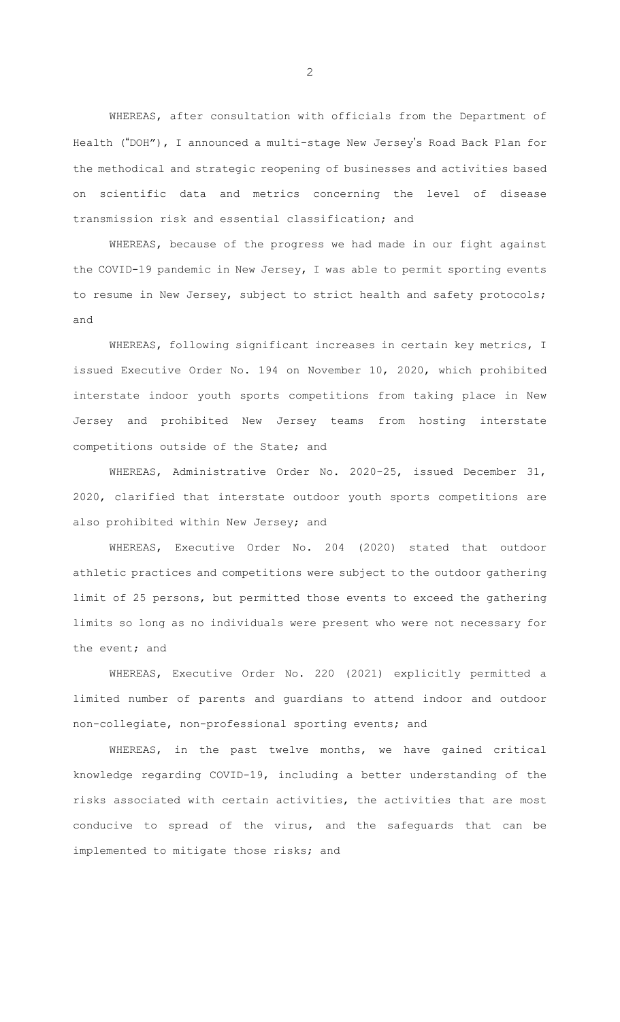WHEREAS, after consultation with officials from the Department of Health ("DOH"), I announced a multi-stage New Jersey's Road Back Plan for the methodical and strategic reopening of businesses and activities based on scientific data and metrics concerning the level of disease transmission risk and essential classification; and

WHEREAS, because of the progress we had made in our fight against the COVID-19 pandemic in New Jersey, I was able to permit sporting events to resume in New Jersey, subject to strict health and safety protocols; and

WHEREAS, following significant increases in certain key metrics, I issued Executive Order No. 194 on November 10, 2020, which prohibited interstate indoor youth sports competitions from taking place in New Jersey and prohibited New Jersey teams from hosting interstate competitions outside of the State; and

WHEREAS, Administrative Order No. 2020-25, issued December 31, 2020, clarified that interstate outdoor youth sports competitions are also prohibited within New Jersey; and

WHEREAS, Executive Order No. 204 (2020) stated that outdoor athletic practices and competitions were subject to the outdoor gathering limit of 25 persons, but permitted those events to exceed the gathering limits so long as no individuals were present who were not necessary for the event; and

WHEREAS, Executive Order No. 220 (2021) explicitly permitted a limited number of parents and guardians to attend indoor and outdoor non-collegiate, non-professional sporting events; and

WHEREAS, in the past twelve months, we have gained critical knowledge regarding COVID-19, including a better understanding of the risks associated with certain activities, the activities that are most conducive to spread of the virus, and the safeguards that can be implemented to mitigate those risks; and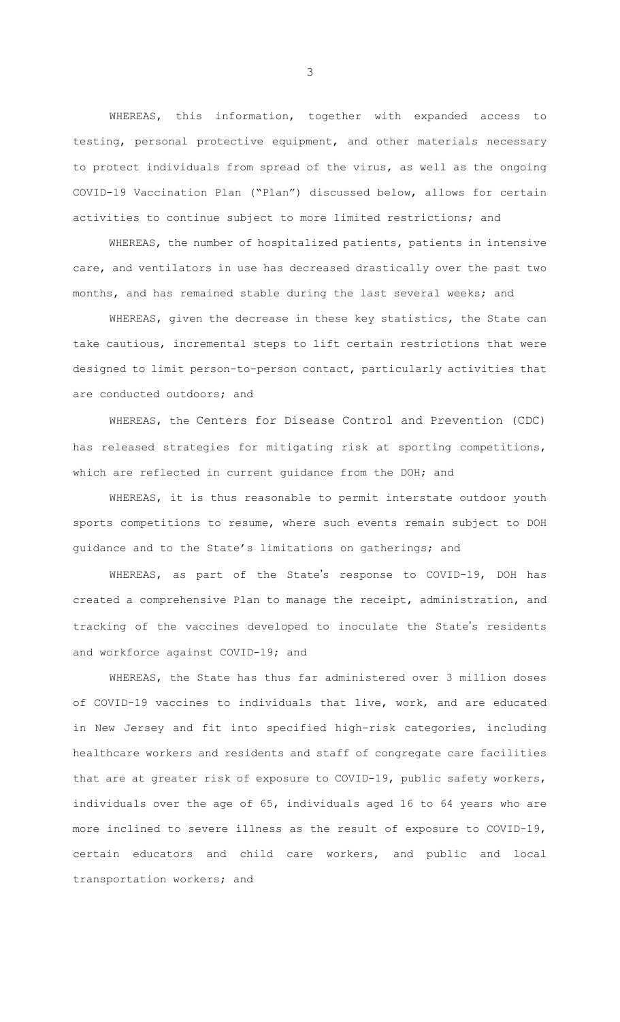WHEREAS, this information, together with expanded access to testing, personal protective equipment, and other materials necessary to protect individuals from spread of the virus, as well as the ongoing COVID-19 Vaccination Plan ("Plan") discussed below, allows for certain activities to continue subject to more limited restrictions; and

WHEREAS, the number of hospitalized patients, patients in intensive care, and ventilators in use has decreased drastically over the past two months, and has remained stable during the last several weeks; and

WHEREAS, given the decrease in these key statistics, the State can take cautious, incremental steps to lift certain restrictions that were designed to limit person-to-person contact, particularly activities that are conducted outdoors; and

WHEREAS, the Centers for Disease Control and Prevention (CDC) has released strategies for mitigating risk at sporting competitions, which are reflected in current guidance from the DOH; and

WHEREAS, it is thus reasonable to permit interstate outdoor youth sports competitions to resume, where such events remain subject to DOH guidance and to the State's limitations on gatherings; and

WHEREAS, as part of the State's response to COVID-19, DOH has created a comprehensive Plan to manage the receipt, administration, and tracking of the vaccines developed to inoculate the State's residents and workforce against COVID-19; and

WHEREAS, the State has thus far administered over 3 million doses of COVID-19 vaccines to individuals that live, work, and are educated in New Jersey and fit into specified high-risk categories, including healthcare workers and residents and staff of congregate care facilities that are at greater risk of exposure to COVID-19, public safety workers, individuals over the age of 65, individuals aged 16 to 64 years who are more inclined to severe illness as the result of exposure to COVID-19, certain educators and child care workers, and public and local transportation workers; and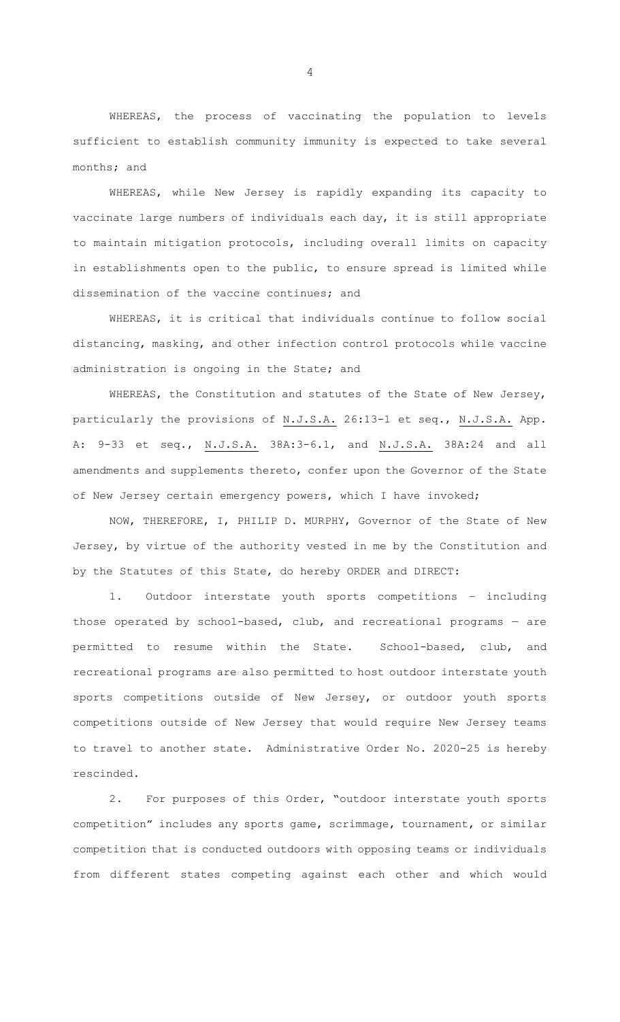WHEREAS, the process of vaccinating the population to levels sufficient to establish community immunity is expected to take several months; and

WHEREAS, while New Jersey is rapidly expanding its capacity to vaccinate large numbers of individuals each day, it is still appropriate to maintain mitigation protocols, including overall limits on capacity in establishments open to the public, to ensure spread is limited while dissemination of the vaccine continues; and

WHEREAS, it is critical that individuals continue to follow social distancing, masking, and other infection control protocols while vaccine administration is ongoing in the State; and

WHEREAS, the Constitution and statutes of the State of New Jersey, particularly the provisions of N.J.S.A. 26:13-1 et seq., N.J.S.A. App. A: 9-33 et seq., N.J.S.A. 38A:3-6.1, and N.J.S.A. 38A:24 and all amendments and supplements thereto, confer upon the Governor of the State of New Jersey certain emergency powers, which I have invoked;

NOW, THEREFORE, I, PHILIP D. MURPHY, Governor of the State of New Jersey, by virtue of the authority vested in me by the Constitution and by the Statutes of this State, do hereby ORDER and DIRECT:

1. Outdoor interstate youth sports competitions – including those operated by school-based, club, and recreational programs — are permitted to resume within the State. School-based, club, and recreational programs are also permitted to host outdoor interstate youth sports competitions outside of New Jersey, or outdoor youth sports competitions outside of New Jersey that would require New Jersey teams to travel to another state. Administrative Order No. 2020-25 is hereby rescinded.

2. For purposes of this Order, "outdoor interstate youth sports competition" includes any sports game, scrimmage, tournament, or similar competition that is conducted outdoors with opposing teams or individuals from different states competing against each other and which would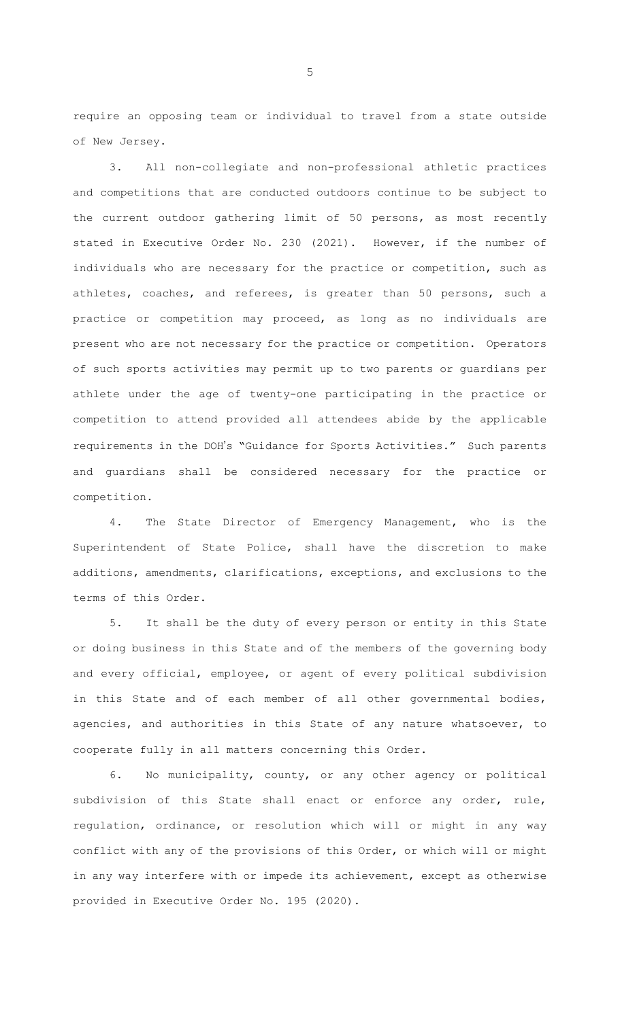require an opposing team or individual to travel from a state outside of New Jersey.

3. All non-collegiate and non-professional athletic practices and competitions that are conducted outdoors continue to be subject to the current outdoor gathering limit of 50 persons, as most recently stated in Executive Order No. 230 (2021). However, if the number of individuals who are necessary for the practice or competition, such as athletes, coaches, and referees, is greater than 50 persons, such a practice or competition may proceed, as long as no individuals are present who are not necessary for the practice or competition. Operators of such sports activities may permit up to two parents or guardians per athlete under the age of twenty-one participating in the practice or competition to attend provided all attendees abide by the applicable requirements in the DOH's "Guidance for Sports Activities." Such parents and guardians shall be considered necessary for the practice or competition.

4. The State Director of Emergency Management, who is the Superintendent of State Police, shall have the discretion to make additions, amendments, clarifications, exceptions, and exclusions to the terms of this Order.

5. It shall be the duty of every person or entity in this State or doing business in this State and of the members of the governing body and every official, employee, or agent of every political subdivision in this State and of each member of all other governmental bodies, agencies, and authorities in this State of any nature whatsoever, to cooperate fully in all matters concerning this Order.

6. No municipality, county, or any other agency or political subdivision of this State shall enact or enforce any order, rule, regulation, ordinance, or resolution which will or might in any way conflict with any of the provisions of this Order, or which will or might in any way interfere with or impede its achievement, except as otherwise provided in Executive Order No. 195 (2020).